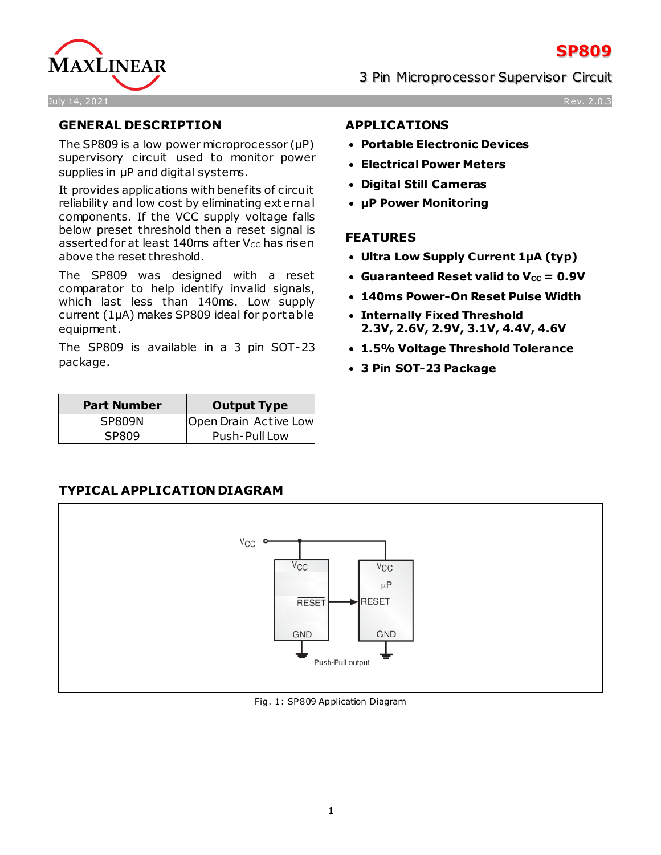



## **GENERAL DESCRIPTION**

The SP809 is a low power microprocessor (μP) supervisory circuit used to monitor power supplies in μP and digital systems.

It provides applications with benefits of circuit reliability and low cost by eliminating external components. If the VCC supply voltage falls below preset threshold then a reset signal is asserted for at least 140ms after  $V_{CC}$  has risen above the reset threshold.

The SP809 was designed with a reset comparator to help identify invalid signals, which last less than 140ms. Low supply current (1μA) makes SP809 ideal for port able equipment.

The SP809 is available in a 3 pin SOT-23 package.

| <b>Part Number</b> | <b>Output Type</b>    |
|--------------------|-----------------------|
| SP809N             | Open Drain Active Low |
| SPRN9              | Push-Pull Low         |

## **APPLICATIONS**

- **Portable Electronic Devices**
- **Electrical Power Meters**
- **Digital Still Cameras**
- **µP Power Monitoring**

## **FEATURES**

- **Ultra Low Supply Current 1µA (typ)**
- Guaranteed Reset valid to  $V_{cc} = 0.9V$
- **140ms Power-On Reset Pulse Width**
- **Internally Fixed Threshold 2.3V, 2.6V, 2.9V, 3.1V, 4.4V, 4.6V**
- **1.5% Voltage Threshold Tolerance**
- **3 Pin SOT-23 Package**

## **TYPICAL APPLICATION DIAGRAM**



Fig. 1: SP809 Application Diagram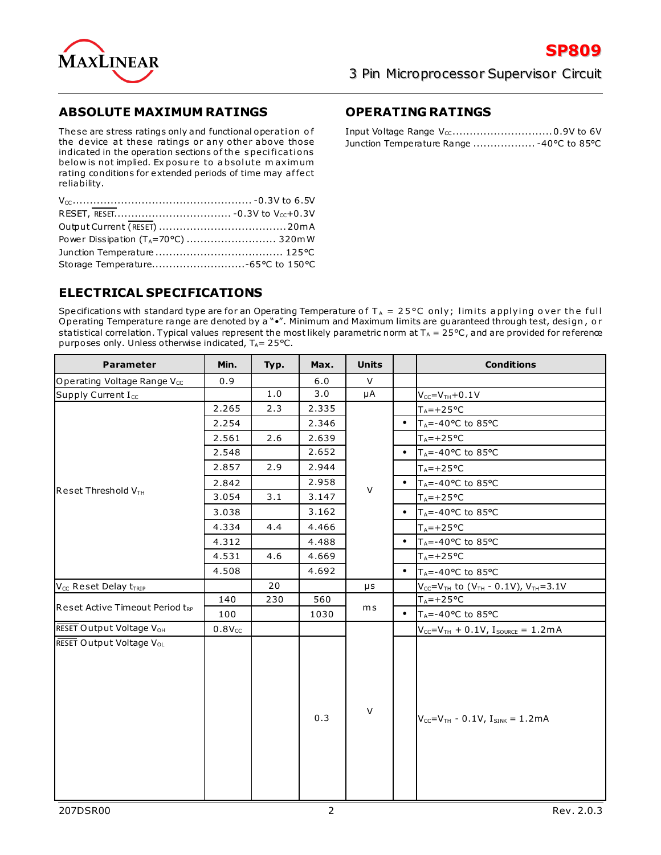

## **ABSOLUTE MAXIMUM RATINGS**

These are stress ratings only and functional operation of the device at these ratings or any other above those indicated in the operation sections of the specifications below is not implied. Ex posu re to a bsolute m axim um rating conditions for extended periods of time may affect reliability.

## **ELECTRICAL SPECIFICATIONS**

Specifications with standard type are for an Operating Temperature of  $T_A = 25^{\circ}C$  only; limits applying over the full Operating Temperature range are denoted by a "•". Minimum and Maximum limits are guaranteed through test, design, or sta tistical correlation. Typical values represent the most likely parametric norm at  $T_A = 25^{\circ}$ C, and are provided for reference purposes only. Unless otherwise indicated,  $T_A = 25^{\circ}C$ .

| <b>Parameter</b>                              | Min.        | Typ. | Max.  | <b>Units</b> |           | <b>Conditions</b>                                                    |
|-----------------------------------------------|-------------|------|-------|--------------|-----------|----------------------------------------------------------------------|
| Operating Voltage Range V <sub>cc</sub>       | 0.9         |      | 6.0   | $\vee$       |           |                                                                      |
| Supply Current I <sub>cc</sub>                |             | 1.0  | 3.0   | μA           |           | $V_{CC} = V_{TH} + 0.1V$                                             |
|                                               | 2.265       | 2.3  | 2.335 |              |           | $T_A = +25$ °C                                                       |
|                                               | 2.254       |      | 2.346 |              | $\bullet$ | $T_A = -40$ °C to 85 °C                                              |
|                                               | 2.561       | 2.6  | 2.639 |              |           | $T_A = +25°C$                                                        |
|                                               | 2.548       |      | 2.652 |              | $\bullet$ | $T_A = -40$ °C to 85 °C                                              |
|                                               | 2.857       | 2.9  | 2.944 |              |           | $T_A = +25$ °C                                                       |
|                                               | 2.842       |      | 2.958 | V            | $\bullet$ | T <sub>A</sub> =-40°C to 85°C                                        |
| Reset Threshold VTH                           | 3.054       | 3.1  | 3.147 |              |           | $T_A = +25$ °C                                                       |
|                                               | 3.038       |      | 3.162 |              | $\bullet$ | $T_A = -40$ °C to 85 °C                                              |
|                                               | 4.334       | 4.4  | 4.466 |              |           | $T_A = +25$ °C                                                       |
|                                               | 4.312       |      | 4.488 |              | $\bullet$ | T <sub>A</sub> =-40°C to 85°C                                        |
|                                               | 4.531       | 4.6  | 4.669 |              |           | $T_A = +25$ °C                                                       |
|                                               | 4.508       |      | 4.692 |              | $\bullet$ | $T_A = -40$ °C to 85 °C                                              |
| V <sub>CC</sub> Reset Delay t <sub>TRIP</sub> |             | 20   |       | μs           |           | $V_{CC} = V_{TH}$ to (V <sub>TH</sub> - 0.1V), V <sub>TH</sub> =3.1V |
| Reset Active Timeout Period tRP               | 140         | 230  | 560   |              |           | $T_A = +25°C$                                                        |
|                                               | 100         |      | 1030  | ms           | $\bullet$ | $T_A = -40$ °C to 85 °C                                              |
| RESET Output Voltage V <sub>OH</sub>          | $0.8V_{CC}$ |      |       |              |           | $V_{CC} = V_{TH} + 0.1V$ , $I_{SOURCE} = 1.2mA$                      |
| RESET Output Voltage V <sub>OL</sub>          |             |      | 0.3   | $\vee$       |           | $V_{CC} = V_{TH} - 0.1 V, I_{SINK} = 1.2 mA$                         |

## **OPERATING RATINGS**

| Junction Temperature Range  -40°C to 85°C |  |
|-------------------------------------------|--|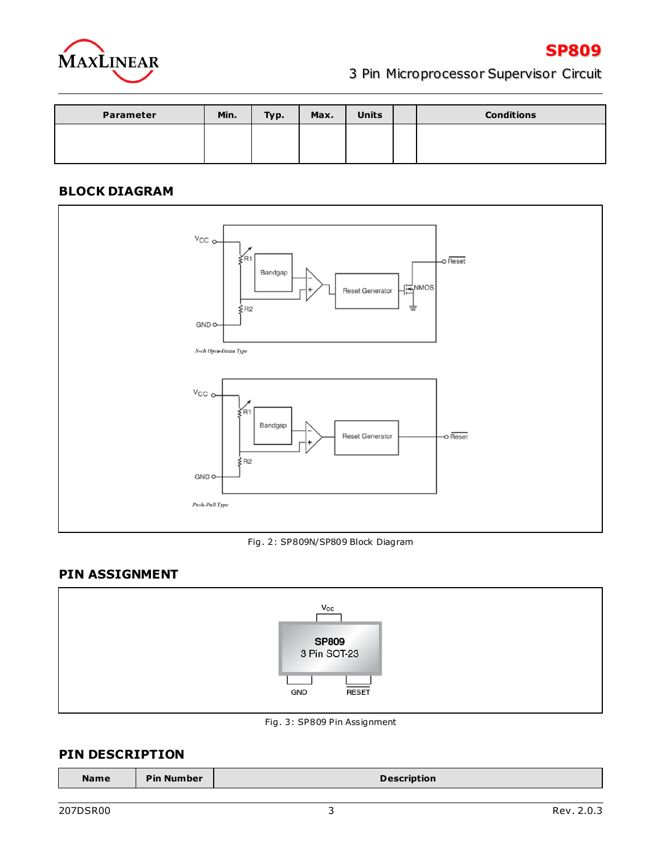

| Parameter | Min. | Typ. | Max. | <b>Units</b> | <b>Conditions</b> |
|-----------|------|------|------|--------------|-------------------|
|           |      |      |      |              |                   |
|           |      |      |      |              |                   |

## **BLOCK DIAGRAM**



Fig. 2: SP809N/SP809 Block Diagram

## **PIN ASSIGNMENT**



Fig. 3: SP809 Pin Assignment

## **PIN DESCRIPTION**

| <b>Pin Number</b><br><b>Name</b><br><b>Description</b> |  |
|--------------------------------------------------------|--|
|--------------------------------------------------------|--|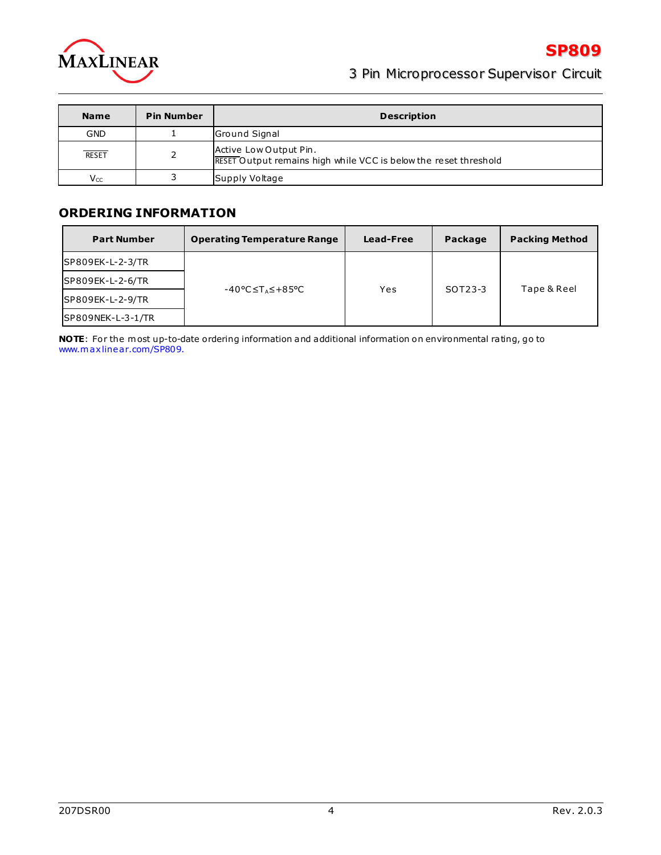

| <b>Name</b>  | <b>Pin Number</b> | <b>Description</b>                                                                         |
|--------------|-------------------|--------------------------------------------------------------------------------------------|
| <b>GND</b>   |                   | Ground Signal                                                                              |
| <b>RESET</b> |                   | Active Low Output Pin.<br>RESET Output remains high while VCC is below the reset threshold |
| $V_{CC}$     |                   | Supply Voltage                                                                             |

## **ORDERING INFORMATION**

| <b>Part Number</b>  | <b>Operating Temperature Range</b> | Lead-Free | Package | <b>Packing Method</b> |
|---------------------|------------------------------------|-----------|---------|-----------------------|
| SP809EK-L-2-3/TR    |                                    |           |         |                       |
| SP809EK-L-2-6/TR    | -40°C≤T⊿≤+85°C                     | Yes       | SOT23-3 | Tape & Reel           |
| SP809EK-L-2-9/TR    |                                    |           |         |                       |
| $SPS09NEK-L-3-1/TR$ |                                    |           |         |                       |

**NOTE**: For the m ost up-to-date ordering information and additional information on environmental ra ting, go to www.m axlinear.com/SP809.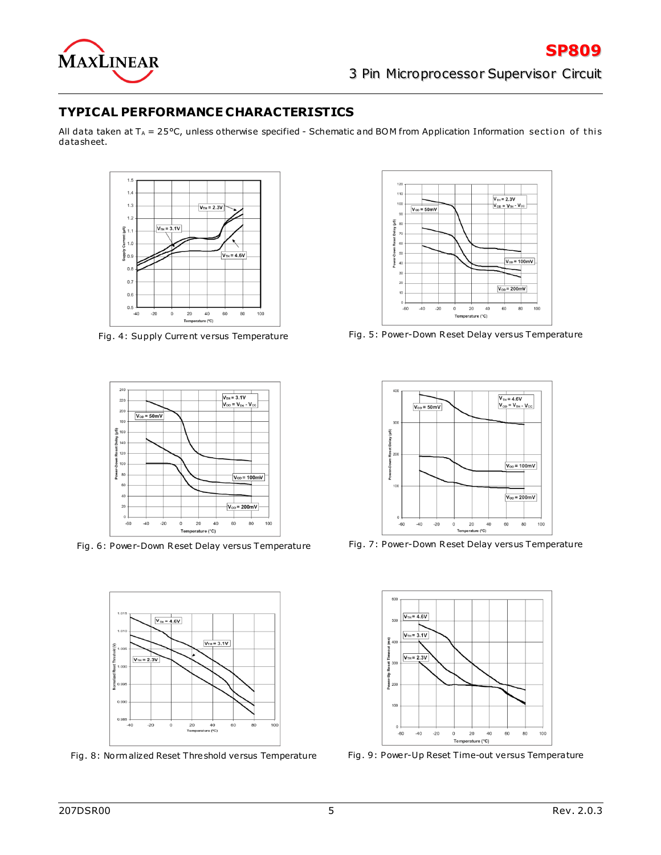

## **TYPICAL PERFORMANCE CHARACTERISTICS**

All data taken at  $T_A = 25$ °C, unless otherwise specified - Schematic and BOM from Application Information section of this da tasheet.





Fig. 6: Power-Down Reset Delay versus Temperature Fig. 7: Power-Down Reset Delay versus Temperature



Fig. 8: Norm alized Reset Threshold versus Temperature Fig. 9: Power-Up Reset Time-out versus Tempera ture



Fig. 4: Supply Current versus Temperature Fig. 5: Power-Down Reset Delay versus Temperature



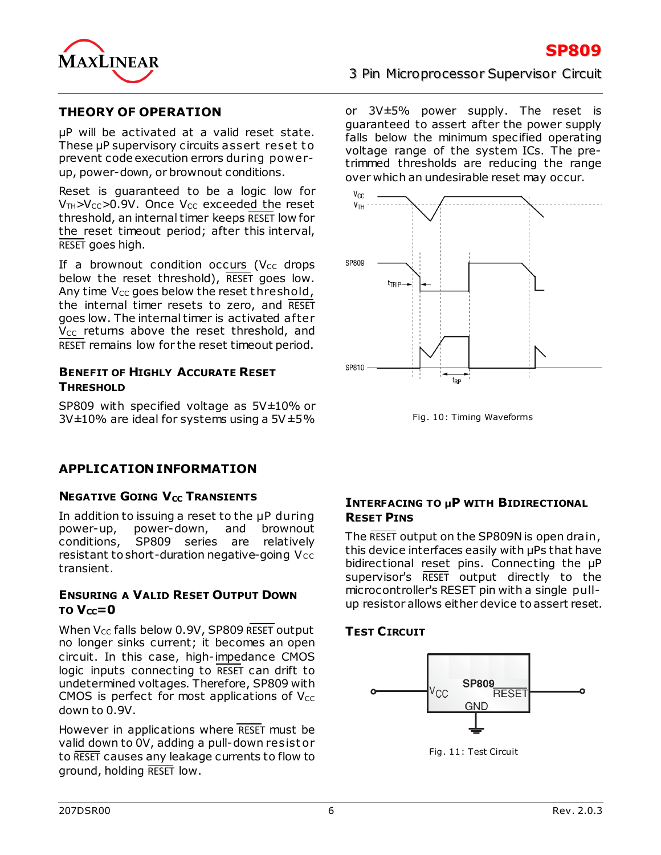

## **THEORY OF OPERATION**

μP will be activated at a valid reset state. These µP supervisory circuits assert reset to prevent code execution errors during powerup, power-down, or brownout conditions.

Reset is guaranteed to be a logic low for  $V_{TH} > V_{CC} > 0.9V$ . Once  $V_{CC}$  exceeded the reset threshold, an internal timer keeps RESET low for the reset timeout period; after this interval, RESET goes high.

If a brownout condition occurs ( $V_{CC}$  drops below the reset threshold), RESET goes low. Any time  $V_{CC}$  goes below the reset threshold, the internal timer resets to zero, and RESET goes low. The internal timer is activated after  $V_{CC}$  returns above the reset threshold, and RESET remains low for the reset timeout period.

#### **BENEFIT OF HIGHLY ACCURATE RESET THRESHOLD**

SP809 with specified voltage as 5V±10% or  $3V\pm10\%$  are ideal for systems using a  $5V\pm5\%$ 

## 3 Pin Microprocessor Supervisor Circuit

or 3V±5% power supply. The reset is guaranteed to assert after the power supply falls below the minimum specified operating voltage range of the system ICs. The pretrimmed thresholds are reducing the range over which an undesirable reset may occur.



Fig. 10: Timing Waveforms

## **APPLICATION INFORMATION**

## **NEGATIVE GOING V<sub>CC</sub> TRANSIENTS**

In addition to issuing a reset to the µP during power-up, power-down, and brownout<br>conditions, SP809 series are relatively SP809 series are relatively resistant to short-duration negative-going  $Vcc$ transient.

#### **ENSURING A VALID RESET OUTPUT DOWN**  $TO$   $V_{cc}=0$

When  $V_{CC}$  falls below 0.9V, SP809 RESET output no longer sinks current; it becomes an open circuit. In this case, high-impedance CMOS logic inputs connecting to RESET can drift to undetermined voltages. Therefore, SP809 with CMOS is perfect for most applications of  $V_{CC}$ down to 0.9V.

However in applications where RESET must be valid down to 0V, adding a pull-down resistor to RESET causes any leakage currents to flow to ground, holding RESET low.

## **INTERFACING TO µP WITH BIDIRECTIONAL RESET PINS**

The RESET output on the SP809N is open drain, this device interfaces easily with μPs that have bidirectional reset pins. Connecting the μP supervisor's RESET output directly to the microcontroller's RESET pin with a single pullup resistor allows either device to assert reset.

## **TEST CIRCUIT**



Fig. 11: Test Circuit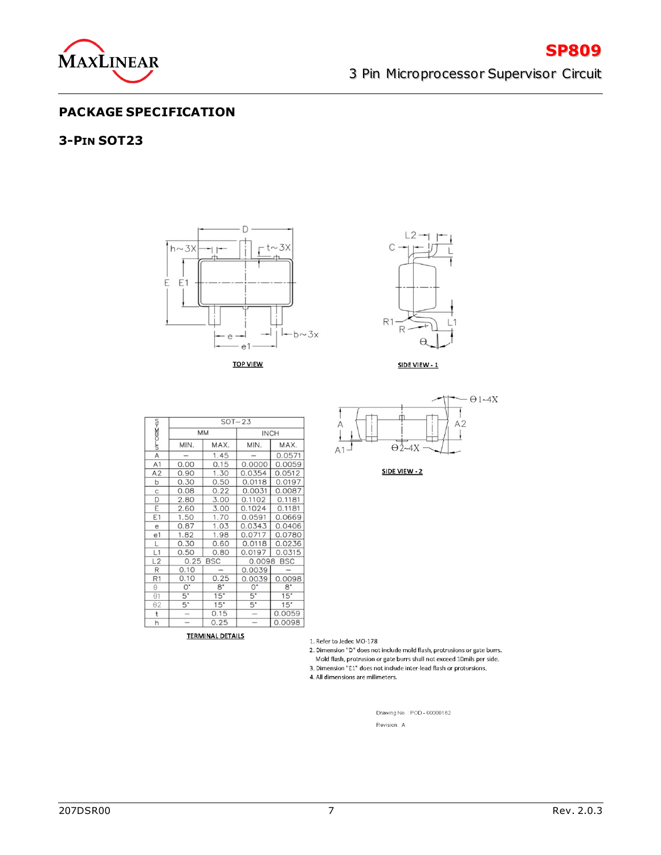

**SP809**

#### **PACKAGE SPECIFICATION**

#### **3-PIN SOT23**



**TOP VIEW** 



SIDE VIEW - 1

|                                                                               |                          | $SOT-23$    |                          |             |  |  |  |
|-------------------------------------------------------------------------------|--------------------------|-------------|--------------------------|-------------|--|--|--|
|                                                                               |                          | MM          | <b>INCH</b>              |             |  |  |  |
| or-case <to< th=""><th>MIN.</th><th>MAX.</th><th>MIN.</th><th>MAX.</th></to<> | MIN.                     | MAX.        | MIN.                     | MAX.        |  |  |  |
| A                                                                             |                          | 1.45        |                          | 0.0571      |  |  |  |
| A <sub>1</sub>                                                                | 0.00                     | 0.15        | 0.0000                   | 0.0059      |  |  |  |
| A2                                                                            | 0.90                     | 1.30        | 0.0354                   | 0.0512      |  |  |  |
| þ                                                                             | 0.30                     | 0.50        | 0.0118                   | 0.0197      |  |  |  |
| C                                                                             | 0.08                     | 0.22        | 0.0031                   | 0.0087      |  |  |  |
| D                                                                             | 2.80                     | 3.00        | 0.1102                   | 0.1181      |  |  |  |
| E                                                                             | 2.60                     | 3.00        | 0.1024                   | 0.1181      |  |  |  |
| E1                                                                            | 1.50                     | 1.70        | 0.0591                   | 0.0669      |  |  |  |
| e                                                                             | 0.87                     | 1.03        | 0.0343                   | 0.0406      |  |  |  |
| e1                                                                            | 1.82                     | 1.98        | 0.0717                   | 0.0780      |  |  |  |
| L                                                                             | 0.30                     | 0.60        | 0.0118                   | 0.0236      |  |  |  |
| L1                                                                            | 0.50                     | 0.80        | 0.0197                   | 0.0315      |  |  |  |
| L2                                                                            |                          | 0.25 BSC    |                          | 0.0098 BSC  |  |  |  |
| R                                                                             | 0.10                     |             | 0.0039                   |             |  |  |  |
| R1                                                                            | 0.10                     | 0.25        | 0.0039                   | 0.0098      |  |  |  |
| $\theta$                                                                      | $0^*$                    | $8^{\circ}$ | $O^*$                    | $8^{\circ}$ |  |  |  |
| $\theta$ 1                                                                    | $5^{\circ}$              | $15*$       | $5^{\circ}$              | 15"         |  |  |  |
| $\theta$ 2                                                                    | 5.                       | 15"         | 5.                       | 15"         |  |  |  |
| $\mathsf{t}$                                                                  | $\overline{\phantom{m}}$ | 0.15        | $\overline{\phantom{a}}$ | 0.0059      |  |  |  |
| h                                                                             | ÷                        | 0.25        | $\equiv$                 | 0.0098      |  |  |  |

**TERMINAL DETAILS** 



SIDE VIEW - 2

1. Refer to Jedec MO-178

2. Dimension "D" does not include mold flash, protrusions or gate burrs.

Mold flash, protrusion or gate burrs shall not exceed 10mils per side.

3. Dimension "E1" does not include inter-lead flash or protursions.

4. All dimensions are milimeters.

Drawing No.: POD - 00000162 Revision: A